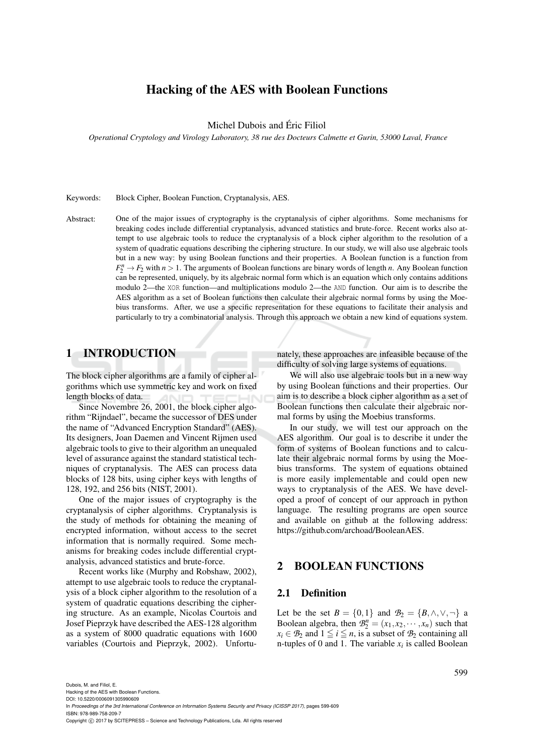# Hacking of the AES with Boolean Functions

Michel Dubois and Eric Filiol ´

*Operational Cryptology and Virology Laboratory, 38 rue des Docteurs Calmette et Gurin, 53000 Laval, France*

Keywords: Block Cipher, Boolean Function, Cryptanalysis, AES.

Abstract: One of the major issues of cryptography is the cryptanalysis of cipher algorithms. Some mechanisms for breaking codes include differential cryptanalysis, advanced statistics and brute-force. Recent works also attempt to use algebraic tools to reduce the cryptanalysis of a block cipher algorithm to the resolution of a system of quadratic equations describing the ciphering structure. In our study, we will also use algebraic tools but in a new way: by using Boolean functions and their properties. A Boolean function is a function from  $F_2^n \rightarrow F_2$  with  $n > 1$ . The arguments of Boolean functions are binary words of length *n*. Any Boolean function can be represented, uniquely, by its algebraic normal form which is an equation which only contains additions modulo 2—the XOR function—and multiplications modulo 2—the AND function. Our aim is to describe the AES algorithm as a set of Boolean functions then calculate their algebraic normal forms by using the Moebius transforms. After, we use a specific representation for these equations to facilitate their analysis and particularly to try a combinatorial analysis. Through this approach we obtain a new kind of equations system.

## 1 INTRODUCTION

The block cipher algorithms are a family of cipher algorithms which use symmetric key and work on fixed length blocks of data.

Since Novembre 26, 2001, the block cipher algorithm "Rijndael", became the successor of DES under the name of "Advanced Encryption Standard" (AES). Its designers, Joan Daemen and Vincent Rijmen used algebraic tools to give to their algorithm an unequaled level of assurance against the standard statistical techniques of cryptanalysis. The AES can process data blocks of 128 bits, using cipher keys with lengths of 128, 192, and 256 bits (NIST, 2001).

One of the major issues of cryptography is the cryptanalysis of cipher algorithms. Cryptanalysis is the study of methods for obtaining the meaning of encrypted information, without access to the secret information that is normally required. Some mechanisms for breaking codes include differential cryptanalysis, advanced statistics and brute-force.

Recent works like (Murphy and Robshaw, 2002), attempt to use algebraic tools to reduce the cryptanalysis of a block cipher algorithm to the resolution of a system of quadratic equations describing the ciphering structure. As an example, Nicolas Courtois and Josef Pieprzyk have described the AES-128 algorithm as a system of 8000 quadratic equations with 1600 variables (Courtois and Pieprzyk, 2002). Unfortunately, these approaches are infeasible because of the difficulty of solving large systems of equations.

We will also use algebraic tools but in a new way by using Boolean functions and their properties. Our aim is to describe a block cipher algorithm as a set of Boolean functions then calculate their algebraic normal forms by using the Moebius transforms.

In our study, we will test our approach on the AES algorithm. Our goal is to describe it under the form of systems of Boolean functions and to calculate their algebraic normal forms by using the Moebius transforms. The system of equations obtained is more easily implementable and could open new ways to cryptanalysis of the AES. We have developed a proof of concept of our approach in python language. The resulting programs are open source and available on github at the following address: https://github.com/archoad/BooleanAES.

## 2 BOOLEAN FUNCTIONS

### 2.1 Definition

Let be the set  $B = \{0, 1\}$  and  $B_2 = \{B, \wedge, \vee, \neg\}$  a Boolean algebra, then  $\mathcal{B}_2^n = (x_1, x_2, \dots, x_n)$  such that  $x_i \in B_2$  and  $1 \le i \le n$ , is a subset of  $B_2$  containing all n-tuples of 0 and 1. The variable  $x_i$  is called Boolean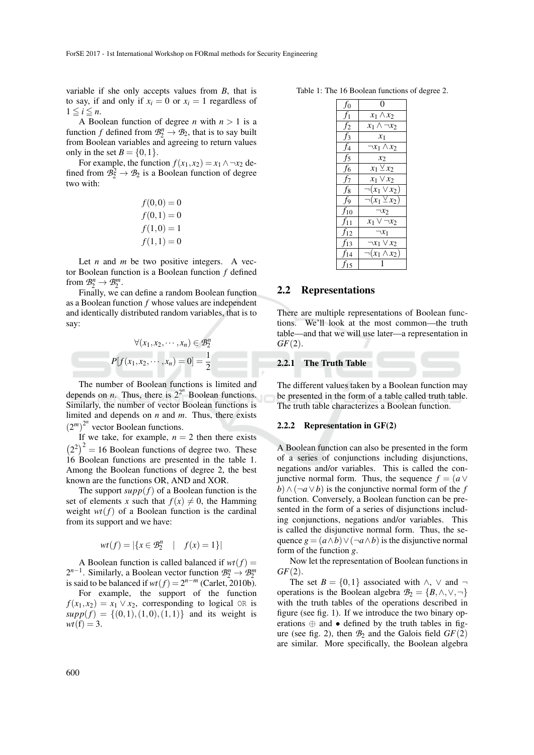variable if she only accepts values from *B*, that is to say, if and only if  $x_i = 0$  or  $x_i = 1$  regardless of  $1 \leq i \leq n$ .

A Boolean function of degree *n* with  $n > 1$  is a function *f* defined from  $\mathcal{B}_2^n \to \mathcal{B}_2$ , that is to say built from Boolean variables and agreeing to return values only in the set  $B = \{0, 1\}.$ 

For example, the function  $f(x_1, x_2) = x_1 \wedge \neg x_2$  defined from  $B_2^2 \rightarrow B_2$  is a Boolean function of degree two with:

$$
f(0,0) = 0
$$
  
\n
$$
f(0,1) = 0
$$
  
\n
$$
f(1,0) = 1
$$
  
\n
$$
f(1,1) = 0
$$

Let *n* and *m* be two positive integers. A vector Boolean function is a Boolean function *f* defined from  $\mathcal{B}_2^n \rightarrow \mathcal{B}_2^m$ .

Finally, we can define a random Boolean function as a Boolean function *f* whose values are independent and identically distributed random variables, that is to say:

$$
\forall (x_1, x_2, \cdots, x_n) \in \mathcal{B}_2^n
$$

$$
P[f(x_1, x_2, \cdots, x_n) = 0] = \frac{1}{2}
$$

The number of Boolean functions is limited and depends on *n*. Thus, there is  $2^{2^n}$  Boolean functions. Similarly, the number of vector Boolean functions is limited and depends on *n* and *m*. Thus, there exists  $(2<sup>m</sup>)<sup>2<sup>n</sup></sup>$  vector Boolean functions.

If we take, for example,  $n = 2$  then there exists  $(2^2)^2 = 16$  Boolean functions of degree two. These 16 Boolean functions are presented in the table 1. Among the Boolean functions of degree 2, the best known are the functions OR, AND and XOR.

The support  $supp(f)$  of a Boolean function is the set of elements *x* such that  $f(x) \neq 0$ , the Hamming weight  $wt(f)$  of a Boolean function is the cardinal from its support and we have:

$$
wt(f) = |\{x \in \mathcal{B}_2^n \mid f(x) = 1\}|
$$

A Boolean function is called balanced if  $wt(f)$  =  $2^{n-1}$ . Similarly, a Boolean vector function  $\mathcal{B}_2^n \to \mathcal{B}_2^m$ is said to be balanced if  $wt(f) = 2^{n-m}$  (Carlet, 2010b).

For example, the support of the function  $f(x_1, x_2) = x_1 \vee x_2$ , corresponding to logical OR is  $supp(f) = \{(0,1), (1,0), (1,1)\}\$ and its weight is  $wt(f) = 3.$ 

Table 1: The 16 Boolean functions of degree 2.

| t0       | 0                          |
|----------|----------------------------|
| $f_1$    | $x_1 \wedge x_2$           |
| $f_2$    | $x_1 \wedge \neg x_2$      |
| f3       | $x_1$                      |
| f4       | י $x_1 \wedge x_2$         |
| $f_5$    | $x_2$                      |
| Ť6       | $\overline{x_1 \vee x_2}$  |
| $f_7$    | $x_1 \vee x_2$             |
| f8       | $\mathbf{u}(x_1 \vee x_2)$ |
| f9       | $\pi(x_1 \veebar x_2)$     |
| $f_{10}$ | $\neg x_2$                 |
| $f_{11}$ | $x_1 \vee \neg x_2$        |
| $f_{12}$ | $\neg x_1$                 |
| $f_{13}$ | $\neg x_1 \vee x_2$        |
| $f_{14}$ | $(x_1 \wedge x_2)$         |
| $f_{15}$ |                            |

### 2.2 Representations

There are multiple representations of Boolean functions. We'll look at the most common—the truth table—and that we will use later—a representation in *GF*(2).

#### 2.2.1 The Truth Table

The different values taken by a Boolean function may be presented in the form of a table called truth table. The truth table characterizes a Boolean function.

#### 2.2.2 Representation in GF(2)

A Boolean function can also be presented in the form of a series of conjunctions including disjunctions, negations and/or variables. This is called the conjunctive normal form. Thus, the sequence  $f = (a \vee$ *b*)  $\land$  (¬*a*  $\lor$  *b*) is the conjunctive normal form of the *f* function. Conversely, a Boolean function can be presented in the form of a series of disjunctions including conjunctions, negations and/or variables. This is called the disjunctive normal form. Thus, the sequence  $g = (a \wedge b) \vee (\neg a \wedge b)$  is the disjunctive normal form of the function *g*.

Now let the representation of Boolean functions in *GF*(2).

The set  $B = \{0, 1\}$  associated with ∧,  $\vee$  and  $\neg$ operations is the Boolean algebra  $\mathcal{B}_2 = \{B, \wedge, \vee, \neg\}$ with the truth tables of the operations described in figure (see fig. 1). If we introduce the two binary operations  $oplus$  and  $\bullet$  defined by the truth tables in figure (see fig. 2), then  $B_2$  and the Galois field  $GF(2)$ are similar. More specifically, the Boolean algebra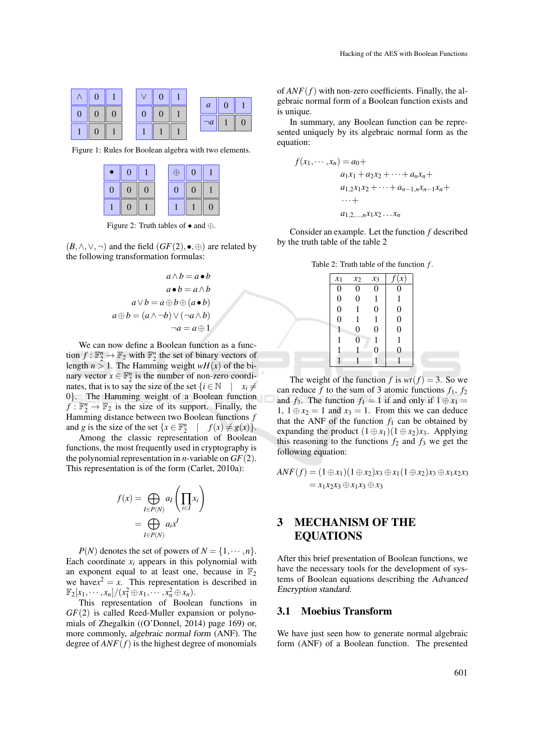| 0 |  |  |  | $\mathfrak{a}$ |  |
|---|--|--|--|----------------|--|
|   |  |  |  | $\neg a$       |  |

Figure 1: Rules for Boolean algebra with two elements.

| ۰              | $\bf{0}$         |                | $\bigoplus$  | $\overline{0}$ |                |
|----------------|------------------|----------------|--------------|----------------|----------------|
| $\overline{0}$ | $\overline{0}$   | $\overline{0}$ | $\mathbf{0}$ | $\overline{0}$ |                |
|                | $\boldsymbol{0}$ |                |              |                | $\overline{0}$ |

Figure 2: Truth tables of • and ⊕.

 $(B, \wedge, \vee, \neg)$  and the field  $(GF(2), \bullet, \oplus)$  are related by the following transformation formulas:

$$
a \wedge b = a \bullet b
$$
  
\n
$$
a \bullet b = a \wedge b
$$
  
\n
$$
a \vee b = a \oplus b \oplus (a \bullet b)
$$
  
\n
$$
a \oplus b = (a \wedge \neg b) \vee (\neg a \wedge b)
$$
  
\n
$$
\neg a = a \oplus 1
$$

We can now define a Boolean function as a function  $f: \mathbb{F}_2^n \to \mathbb{F}_2$  with  $\mathbb{F}_2^n$  the set of binary vectors of length  $n > 1$ . The Hamming weight  $wH(x)$  of the binary vector  $x \in \mathbb{F}_2^n$  is the number of non-zero coordinates, that is to say the size of the set  $\{i \in \mathbb{N} \mid x_i \neq 0\}$ 0}. The Hamming weight of a Boolean function  $f: \mathbb{F}_2^n \to \mathbb{F}_2$  is the size of its support. Finally, the Hamming distance between two Boolean functions *f* and *g* is the size of the set  $\{x \in \mathbb{F}_2^n\}$  $f(x) \neq g(x)$ .

Among the classic representation of Boolean functions, the most frequently used in cryptography is the polynomial representation in *n*-variable on  $GF(2)$ . This representation is of the form (Carlet, 2010a):

$$
f(x) = \bigoplus_{I \in P(N)} a_I \left( \prod_{i \in I} x_i \right)
$$

$$
= \bigoplus_{I \in P(N)} a_i x^I
$$

 $P(N)$  denotes the set of powers of  $N = \{1, \dots, n\}.$ Each coordinate  $x_i$  appears in this polynomial with an exponent equal to at least one, because in  $\mathbb{F}_2$ we have $x^2 = x$ . This representation is described in  $\mathbb{F}_2[x_1,\cdots,x_n]/(x_1^2\oplus x_1,\cdots,x_n^2\oplus x_n).$ 

This representation of Boolean functions in *GF*(2) is called Reed-Muller expansion or polynomials of Zhegalkin ((O'Donnel, 2014) page 169) or, more commonly, algebraic normal form (ANF). The degree of  $ANF(f)$  is the highest degree of monomials of *ANF*(*f*) with non-zero coefficients. Finally, the algebraic normal form of a Boolean function exists and is unique.

In summary, any Boolean function can be represented uniquely by its algebraic normal form as the equation:

$$
f(x_1, \dots, x_n) = a_0 +
$$
  
\n
$$
a_1x_1 + a_2x_2 + \dots + a_nx_n +
$$
  
\n
$$
a_{1,2}x_1x_2 + \dots + a_{n-1,n}x_{n-1}x_n +
$$
  
\n
$$
\dots +
$$
  
\n
$$
a_{1,2,\dots,n}x_1x_2 \dots x_n
$$

Consider an example. Let the function *f* described by the truth table of the table 2

Table 2: Truth table of the function *f* .

| $x_1$            | $x_2$            | $x_3$            | (x)              |  |
|------------------|------------------|------------------|------------------|--|
| 0                | 0                | $\boldsymbol{0}$ | 0                |  |
| $\boldsymbol{0}$ | 0                | 1                |                  |  |
| $\boldsymbol{0}$ |                  | 0                | $\boldsymbol{0}$ |  |
| 0                |                  | 1                | $\boldsymbol{0}$ |  |
| 1                | 0                | 0                | $\overline{0}$   |  |
|                  | $\boldsymbol{0}$ | 1                |                  |  |
|                  |                  | 0                | 0                |  |
|                  |                  |                  |                  |  |

The weight of the function *f* is  $wt(f) = 3$ . So we can reduce *f* to the sum of 3 atomic functions  $f_1$ ,  $f_2$ and *f*<sub>3</sub>. The function *f*<sub>1</sub> = 1 if and only if  $1 \oplus x_1$  = 1,  $1 \oplus x_2 = 1$  and  $x_3 = 1$ . From this we can deduce that the ANF of the function  $f_1$  can be obtained by expanding the product  $(1 \oplus x_1)(1 \oplus x_2)x_3$ . Applying this reasoning to the functions  $f_2$  and  $f_3$  we get the following equation:

*ANF*(*f*) = (1⊕*x*<sub>1</sub>)(1⊕*x*<sub>2</sub>)*x*<sub>3</sub> ⊕*x*<sub>1</sub>(1⊕*x*<sub>2</sub>)*x*<sub>3</sub> ⊕*x*<sub>1</sub>*x*<sub>2</sub>*x*<sub>3</sub>  $= x_1 x_2 x_3 \oplus x_1 x_3 \oplus x_3$ 

# 3 MECHANISM OF THE EQUATIONS

After this brief presentation of Boolean functions, we have the necessary tools for the development of systems of Boolean equations describing the Advanced Encryption standard.

### 3.1 Moebius Transform

We have just seen how to generate normal algebraic form (ANF) of a Boolean function. The presented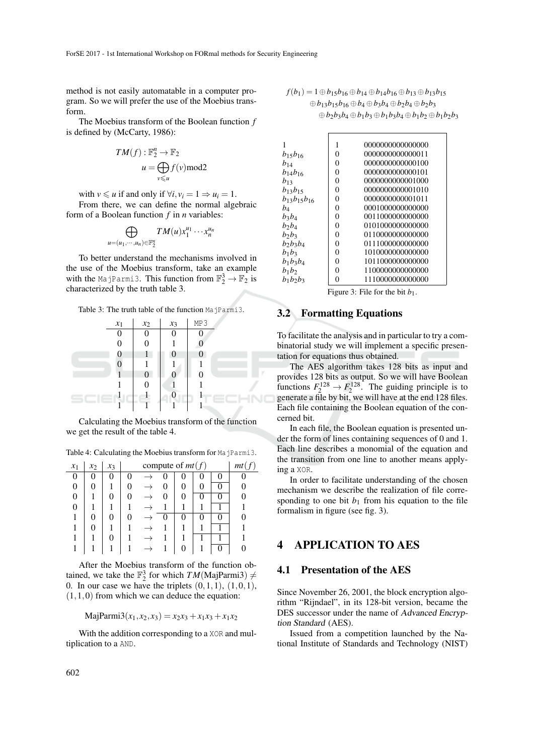method is not easily automatable in a computer program. So we will prefer the use of the Moebius transform.

The Moebius transform of the Boolean function *f* is defined by (McCarty, 1986):

$$
TM(f): \mathbb{F}_2^n \to \mathbb{F}_2
$$

$$
u = \bigoplus_{v \le u} f(v) \bmod 2
$$

with  $v \le u$  if and only if  $\forall i, v_i = 1 \Rightarrow u_i = 1$ . From there, we can define the normal algebraic form of a Boolean function *f* in *n* variables:

$$
\bigoplus_{u=(u_1,\cdots,u_n)\in\mathbb{F}_2^n} TM(u)x_1^{u_1}\cdots x_n^{u_n}
$$

To better understand the mechanisms involved in the use of the Moebius transform, take an example with the MajParmi3. This function from  $\mathbb{F}_2^3 \to \mathbb{F}_2$  is characterized by the truth table 3.

| $x_1$          | $x_2$            | $x_3$ | MP <sub>3</sub> |  |
|----------------|------------------|-------|-----------------|--|
| 0              | 0                | 0     |                 |  |
| $\theta$       | 0                |       |                 |  |
| 0              |                  | 0     | 0               |  |
| $\overline{0}$ |                  |       |                 |  |
|                | $\boldsymbol{0}$ |       |                 |  |
|                | 0                |       |                 |  |
|                |                  |       |                 |  |
|                |                  |       |                 |  |

Calculating the Moebius transform of the function we get the result of the table 4.

Table 4: Calculating the Moebius transform for MajParmi3.

| $x_1$ | $x_2$ | $x_3$ |          | compute of $mt(f)$ |   |          |   |   |  |
|-------|-------|-------|----------|--------------------|---|----------|---|---|--|
| 0     | 0     | 0     | $\Omega$ |                    |   | 0        |   | 0 |  |
| 0     | 0     |       |          |                    | 0 | 0        |   |   |  |
| 0     |       |       |          |                    |   | $\theta$ | 0 | 0 |  |
| 0     |       |       |          |                    |   |          |   |   |  |
|       | 0     |       |          |                    |   | 0        |   | 0 |  |
|       |       |       |          |                    |   |          |   |   |  |
|       |       |       |          |                    |   |          |   |   |  |
|       |       |       |          |                    |   |          |   |   |  |

After the Moebius transform of the function obtained, we take the  $\mathbb{F}_2^3$  for which  $TM(\text{MajParmi3}) \neq$ 0. In our case we have the triplets  $(0,1,1)$ ,  $(1,0,1)$ ,  $(1,1,0)$  from which we can deduce the equation:

 $\text{MajParami3}(x_1, x_2, x_3) = x_2x_3 + x_1x_3 + x_1x_2$ 

With the addition corresponding to a XOR and multiplication to a AND.

$$
f(b_1) = 1 \oplus b_{15}b_{16} \oplus b_{14} \oplus b_{14}b_{16} \oplus b_{13} \oplus b_{13}b_{15}
$$
  
\n
$$
\oplus b_{13}b_{15}b_{16} \oplus b_4 \oplus b_3b_4 \oplus b_2b_4 \oplus b_2b_3
$$
  
\n
$$
\oplus b_2b_3b_4 \oplus b_1b_3 \oplus b_1b_3b_4 \oplus b_1b_2 \oplus b_1b_2b_3
$$

| 1                    | 1 | 0000000000000000 |
|----------------------|---|------------------|
| $b_{15}b_{16}$       | 0 | 0000000000000011 |
| $b_{14}$             | 0 | 0000000000000100 |
| $b_{14}b_{16}$       | 0 | 0000000000000101 |
| $b_{13}$             | 0 | 0000000000001000 |
| $b_{13}b_{15}$       | 0 | 0000000000001010 |
| $b_{13}b_{15}b_{16}$ | 0 | 0000000000001011 |
| b4                   | 0 | 0001000000000000 |
| $b_3b_4$             | 0 | 0011000000000000 |
| $b_2b_4$             | 0 | 0101000000000000 |
| $b_2b_3$             | 0 | 0110000000000000 |
| $b_2b_3b_4$          | 0 | 0111000000000000 |
| $b_1b_3$             | 0 | 1010000000000000 |
| $b_1b_3b_4$          | 0 | 1011000000000000 |
| $b_1b_2$             | 0 | 1100000000000000 |
| $b_1b_2b_3$          | 0 | 1110000000000000 |
|                      |   |                  |

Figure 3: File for the bit  $b_1$ .

## 3.2 Formatting Equations

To facilitate the analysis and in particular to try a combinatorial study we will implement a specific presentation for equations thus obtained.

The AES algorithm takes 128 bits as input and provides 128 bits as output. So we will have Boolean functions  $F_2^{128} \rightarrow F_2^{128}$ . The guiding principle is to generate a file by bit, we will have at the end 128 files. Each file containing the Boolean equation of the concerned bit.

In each file, the Boolean equation is presented under the form of lines containing sequences of 0 and 1. Each line describes a monomial of the equation and the transition from one line to another means applying a XOR.

In order to facilitate understanding of the chosen mechanism we describe the realization of file corresponding to one bit  $b_1$  from his equation to the file formalism in figure (see fig. 3).

## 4 APPLICATION TO AES

### 4.1 Presentation of the AES

Since November 26, 2001, the block encryption algorithm "Rijndael", in its 128-bit version, became the DES successor under the name of Advanced Encryption Standard (AES).

Issued from a competition launched by the National Institute of Standards and Technology (NIST)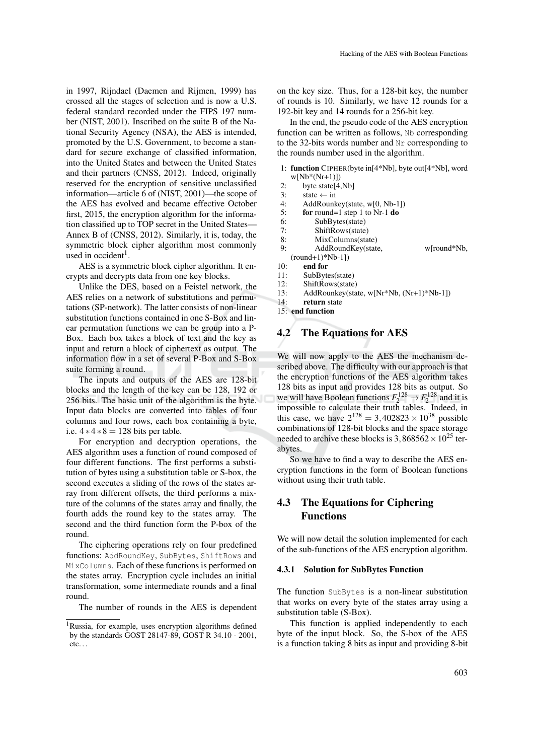in 1997, Rijndael (Daemen and Rijmen, 1999) has crossed all the stages of selection and is now a U.S. federal standard recorded under the FIPS 197 number (NIST, 2001). Inscribed on the suite B of the National Security Agency (NSA), the AES is intended, promoted by the U.S. Government, to become a standard for secure exchange of classified information, into the United States and between the United States and their partners (CNSS, 2012). Indeed, originally reserved for the encryption of sensitive unclassified information—article 6 of (NIST, 2001)—the scope of the AES has evolved and became effective October first, 2015, the encryption algorithm for the information classified up to TOP secret in the United States— Annex B of (CNSS, 2012). Similarly, it is, today, the symmetric block cipher algorithm most commonly used in occident<sup>1</sup>.

AES is a symmetric block cipher algorithm. It encrypts and decrypts data from one key blocks.

Unlike the DES, based on a Feistel network, the AES relies on a network of substitutions and permutations (SP-network). The latter consists of non-linear substitution functions contained in one S-Box and linear permutation functions we can be group into a P-Box. Each box takes a block of text and the key as input and return a block of ciphertext as output. The information flow in a set of several P-Box and S-Box suite forming a round.

The inputs and outputs of the AES are 128-bit blocks and the length of the key can be 128, 192 or 256 bits. The basic unit of the algorithm is the byte. Input data blocks are converted into tables of four columns and four rows, each box containing a byte, i.e.  $4 * 4 * 8 = 128$  bits per table.

For encryption and decryption operations, the AES algorithm uses a function of round composed of four different functions. The first performs a substitution of bytes using a substitution table or S-box, the second executes a sliding of the rows of the states array from different offsets, the third performs a mixture of the columns of the states array and finally, the fourth adds the round key to the states array. The second and the third function form the P-box of the round.

The ciphering operations rely on four predefined functions: AddRoundKey, SubBytes, ShiftRows and MixColumns. Each of these functions is performed on the states array. Encryption cycle includes an initial transformation, some intermediate rounds and a final round.

The number of rounds in the AES is dependent

on the key size. Thus, for a 128-bit key, the number of rounds is 10. Similarly, we have 12 rounds for a 192-bit key and 14 rounds for a 256-bit key.

In the end, the pseudo code of the AES encryption function can be written as follows, Nb corresponding to the 32-bits words number and Nr corresponding to the rounds number used in the algorithm.

- 1: function CIPHER(byte in[4\*Nb], byte out[4\*Nb], word  $w[Nb*(Nr+1)]$
- 2: byte state[4,Nb]<br>3: state  $\leftarrow$  in
- 3: state ← in<br>4: AddRounk
- 4: AddRounkey(state,  $w[0, Nb-1]$ )<br>5: **for** round=1 step 1 to Nr-1 **do**
- 5: **for** round=1 step 1 to Nr-1 **do**<br>6: **SubBytes**(state)
- SubBytes(state)
- 
- 7: ShiftRows(state)<br>8: MixColumns(sta
- 8: MixColumns(state)<br>9: AddRoundKey(state AddRoundKey(state, w[round\*Nb,
- $round+1)*Nb-1]$
- 10: **end for**<br> $11:$  SubByte
- SubBytes(state)
- 12: ShiftRows(state)
- 13: AddRounkey(state, w[Nr\*Nb, (Nr+1)\*Nb-1])
- $14:$  return state
- 15: end function

### 4.2 The Equations for AES

We will now apply to the AES the mechanism described above. The difficulty with our approach is that the encryption functions of the AES algorithm takes 128 bits as input and provides 128 bits as output. So we will have Boolean functions  $F_2^{128} \rightarrow F_2^{128}$  and it is impossible to calculate their truth tables. Indeed, in this case, we have  $2^{128} = 3,402823 \times 10^{38}$  possible combinations of 128-bit blocks and the space storage needed to archive these blocks is  $3,868562 \times 10^{25}$  terabytes.

So we have to find a way to describe the AES encryption functions in the form of Boolean functions without using their truth table.

## 4.3 The Equations for Ciphering Functions

We will now detail the solution implemented for each of the sub-functions of the AES encryption algorithm.

#### 4.3.1 Solution for SubBytes Function

The function SubBytes is a non-linear substitution that works on every byte of the states array using a substitution table (S-Box).

This function is applied independently to each byte of the input block. So, the S-box of the AES is a function taking 8 bits as input and providing 8-bit

<sup>&</sup>lt;sup>1</sup>Russia, for example, uses encryption algorithms defined by the standards GOST 28147-89, GOST R 34.10 - 2001, etc. . .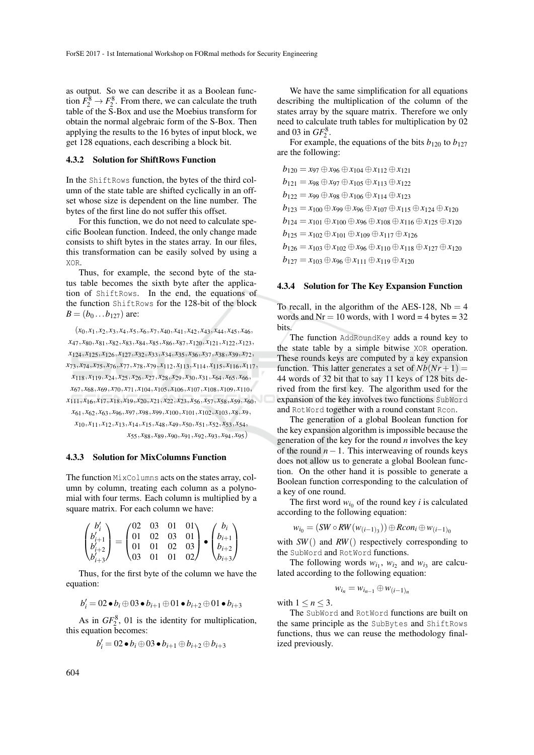as output. So we can describe it as a Boolean function  $F_2^8 \rightarrow F_2^8$ . From there, we can calculate the truth table of the S-Box and use the Moebius transform for obtain the normal algebraic form of the S-Box. Then applying the results to the 16 bytes of input block, we get 128 equations, each describing a block bit.

#### 4.3.2 Solution for ShiftRows Function

In the ShiftRows function, the bytes of the third column of the state table are shifted cyclically in an offset whose size is dependent on the line number. The bytes of the first line do not suffer this offset.

For this function, we do not need to calculate specific Boolean function. Indeed, the only change made consists to shift bytes in the states array. In our files, this transformation can be easily solved by using a XOR.

Thus, for example, the second byte of the status table becomes the sixth byte after the application of ShiftRows. In the end, the equations of the function ShiftRows for the 128-bit of the block  $B = (b_0 \dots b_{127})$  are:

 $(x_0, x_1, x_2, x_3, x_4, x_5, x_6, x_7, x_{40}, x_{41}, x_{42}, x_{43}, x_{44}, x_{45}, x_{46},$ *x*47, *x*80, *x*81, *x*82, *x*83, *x*84, *x*85, *x*86, *x*87, *x*120, *x*121, *x*122, *x*123, *x*124, *x*125, *x*126, *x*127, *x*32, *x*33, *x*34, *x*35, *x*36, *x*37, *x*38, *x*39, *x*72, *x*73, *x*74, *x*75, *x*76, *x*77, *x*78, *x*79, *x*112, *x*113, *x*114, *x*115, *x*116, *x*117, *x*118, *x*119, *x*24, *x*25, *x*26, *x*27, *x*28, *x*29, *x*30, *x*31, *x*64, *x*65, *x*66, *x*67, *x*68, *x*69, *x*70, *x*71, *x*104, *x*105, *x*106, *x*107, *x*108, *x*109, *x*110, *x*111, *x*16, *x*17, *x*18, *x*19, *x*20, *x*21, *x*22, *x*23, *x*56, *x*57, *x*58, *x*59, *x*60, *x*61, *x*62, *x*63, *x*96, *x*97, *x*98, *x*99, *x*100, *x*101, *x*102, *x*103, *x*8, *x*9, *x*10, *x*11, *x*12, *x*13, *x*14, *x*15, *x*48, *x*49, *x*50, *x*51, *x*52, *x*53, *x*54, *x*55, *x*88, *x*89, *x*90, *x*91, *x*92, *x*93, *x*94, *x*95)

#### 4.3.3 Solution for MixColumns Function

The function MixColumns acts on the states array, column by column, treating each column as a polynomial with four terms. Each column is multiplied by a square matrix. For each column we have:

$$
\begin{pmatrix}b_i'\\b_{i+1}'\\b_{i+2}'\\b_{i+3}'\end{pmatrix}=\begin{pmatrix}02&03&01&01\\01&02&03&01\\01&01&02&03\\03&01&01&02\end{pmatrix}\bullet\begin{pmatrix}b_i\\b_{i+1}\\b_{i+2}\\b_{i+3}\end{pmatrix}
$$

Thus, for the first byte of the column we have the equation:

$$
b'_i = 02 \bullet b_i \oplus 03 \bullet b_{i+1} \oplus 01 \bullet b_{i+2} \oplus 01 \bullet b_{i+3}
$$

As in  $GF_2^8$ , 01 is the identity for multiplication, this equation becomes:

$$
b'_i = 02 \bullet b_i \oplus 03 \bullet b_{i+1} \oplus b_{i+2} \oplus b_{i+3}
$$

We have the same simplification for all equations describing the multiplication of the column of the states array by the square matrix. Therefore we only need to calculate truth tables for multiplication by 02 and 03 in  $GF_2^8$ .

For example, the equations of the bits  $b_{120}$  to  $b_{127}$ are the following:

$$
b_{120} = x_{97} \oplus x_{96} \oplus x_{104} \oplus x_{112} \oplus x_{121}
$$
  
\n
$$
b_{121} = x_{98} \oplus x_{97} \oplus x_{105} \oplus x_{113} \oplus x_{122}
$$
  
\n
$$
b_{122} = x_{99} \oplus x_{98} \oplus x_{106} \oplus x_{114} \oplus x_{123}
$$
  
\n
$$
b_{123} = x_{100} \oplus x_{99} \oplus x_{96} \oplus x_{107} \oplus x_{115} \oplus x_{124} \oplus x_{120}
$$
  
\n
$$
b_{124} = x_{101} \oplus x_{100} \oplus x_{96} \oplus x_{108} \oplus x_{116} \oplus x_{125} \oplus x_{120}
$$
  
\n
$$
b_{125} = x_{102} \oplus x_{101} \oplus x_{109} \oplus x_{117} \oplus x_{126}
$$
  
\n
$$
b_{126} = x_{103} \oplus x_{102} \oplus x_{96} \oplus x_{110} \oplus x_{118} \oplus x_{127} \oplus x_{120}
$$
  
\n
$$
b_{127} = x_{103} \oplus x_{96} \oplus x_{111} \oplus x_{119} \oplus x_{120}
$$

#### 4.3.4 Solution for The Key Expansion Function

To recall, in the algorithm of the AES-128,  $Nb = 4$ words and  $Nr = 10$  words, with 1 word = 4 bytes = 32 bits.

The function AddRoundKey adds a round key to the state table by a simple bitwise XOR operation. These rounds keys are computed by a key expansion function. This latter generates a set of  $Nb(Nr+1)$  = 44 words of 32 bit that to say 11 keys of 128 bits derived from the first key. The algorithm used for the expansion of the key involves two functions SubWord and RotWord together with a round constant Rcon.

The generation of a global Boolean function for the key expansion algorithm is impossible because the generation of the key for the round *n* involves the key of the round *n*−1. This interweaving of rounds keys does not allow us to generate a global Boolean function. On the other hand it is possible to generate a Boolean function corresponding to the calculation of a key of one round.

The first word  $w_{i_0}$  of the round key *i* is calculated according to the following equation:

$$
w_{i_0} = (SW \circ RW(w_{(i-1)_3})) \oplus Rcon_i \oplus w_{(i-1)_0}
$$

with *SW*() and *RW*() respectively corresponding to the SubWord and RotWord functions.

The following words  $w_{i_1}$ ,  $w_{i_2}$  and  $w_{i_3}$  are calculated according to the following equation:

$$
w_{i_n}=w_{i_{n-1}}\oplus w_{(i-1)_n}
$$

with  $1 \leq n \leq 3$ .

The SubWord and RotWord functions are built on the same principle as the SubBytes and ShiftRows functions, thus we can reuse the methodology finalized previously.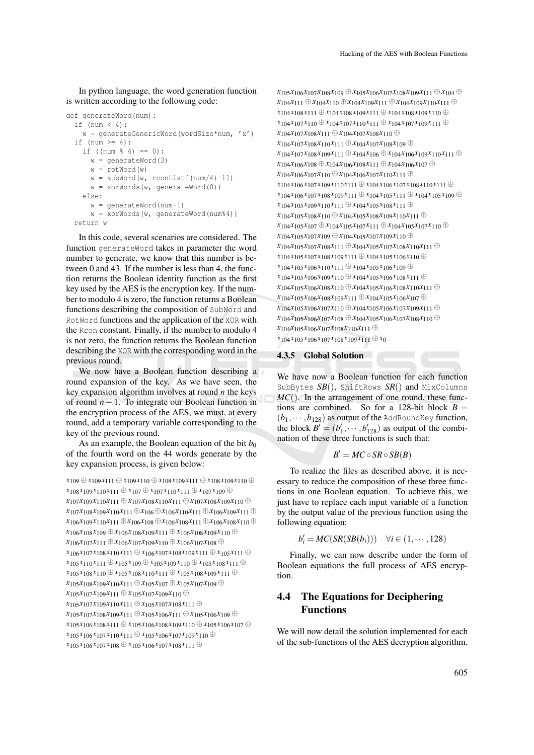In python language, the word generation function is written according to the following code:

```
def generateWord(num):
  if (num < 4):
    w = qenerateGenericWord(wordSize*num, 'x')
  if (num >= 4):
   if (\text{num } 8 4) == 0):
      w = generateWord(3)
     w = rotWord(w)w = subWord(w, rconList[(num/4)-1])w = xorWords(w, generateWord(0))
    else:
     w = generateWord(num-1)
     w = xorWords(w, generateWord(num%4))
  return w
```
In this code, several scenarios are considered. The function generateWord takes in parameter the word number to generate, we know that this number is between 0 and 43. If the number is less than 4, the function returns the Boolean identity function as the first key used by the AES is the encryption key. If the number to modulo 4 is zero, the function returns a Boolean functions describing the composition of SubWord and RotWord functions and the application of the XOR with the Rcon constant. Finally, if the number to modulo 4 is not zero, the function returns the Boolean function describing the XOR with the corresponding word in the previous round.

We now have a Boolean function describing a round expansion of the key. As we have seen, the key expansion algorithm involves at round *n* the keys of round *n* − 1. To integrate our Boolean function in the encryption process of the AES, we must, at every round, add a temporary variable corresponding to the key of the previous round.

As an example, the Boolean equation of the bit  $b_0$ of the fourth word on the 44 words generate by the key expansion process, is given below:

```
x109 ⊕x109x111 ⊕x109x110 ⊕x108x109x111 ⊕x108x109x110 ⊕
x108x109x110x111 ⊕x107 ⊕x107x110x111 ⊕x107x109 ⊕
x<sub>107</sub>x<sub>109</sub>x<sub>110</sub>x<sub>111</sub> ⊕ x<sub>107</sub>x<sub>108</sub>x<sub>110</sub> ∞ x<sub>107</sub>x<sub>108</sub>x<sub>109</sub>x<sub>110</sub> ⊕
x107x108x109x110x111⊕x106⊕x106x110x111⊕x106x109x111⊕
x<sub>106</sub>x<sub>109</sub>x<sub>110</sub>x<sub>111</sub> ⊕x<sub>106</sub>x<sub>108</sub> ⊕x<sub>106</sub>x<sub>108</sub>x<sub>111</sub> ⊕x<sub>106</sub>x<sub>108</sub>x<sub>110</sub> ⊕
x_{106}x_{108}x_{109} ⊕x_{106}x_{108}x_{109}x_{111} ⊕x_{106}x_{108}x_{109}x_{110} ⊕
x106x107x111 ⊕x106x107x109x110 ⊕x106x107x108 ⊕
x106x107x108x110x111 ⊕x106x107x108x109x111 ⊕x105x111 ⊕
x105x110x111 ⊕x105x109 ⊕x105x109x110 ⊕x105x108x111 ⊕
x105x108x110 ⊕x105x108x110x111 ⊕x105x108x109x111 ⊕
x<sub>105</sub>x<sub>108</sub>x<sub>109</sub>x<sub>110</sub>x<sub>111</sub> ⊕ x<sub>105</sub>x<sub>107</sub> ⊕ x<sub>105</sub>x<sub>107</sub>x<sub>109</sub> ⊕
x105x107x109x111 ⊕x105x107x109x110 ⊕
x105x107x109x110x111 ⊕x105x107x108x111 ⊕
x<sub>105</sub>x<sub>107</sub>x<sub>108</sub>x<sub>109</sub>x<sub>111</sub> ⊕ x<sub>105</sub>x<sub>106</sub>x<sub>105</sub>x<sub>106</sub>x<sub>109</sub> ⊕
x<sub>105</sub>x<sub>108</sub>x<sub>108</sub>x<sub>111</sub> ⊕ x<sub>105</sub>x<sub>106</sub>x<sub>108</sub>x<sub>109</sub>x<sub>110</sub> ⊕ x<sub>105</sub>x<sub>107</sub> ⊕
x<sub>105</sub>x<sub>106</sub>x<sub>107</sub>x<sub>110</sub>x<sub>1111</sub> ⊕ x<sub>105</sub>x<sub>106</sub>x<sub>107</sub>x<sub>109</sub>x<sub>110</sub> ⊕
x105x106x107x108 ⊕x105x106x107x108x111 ⊕
```
*x*105*x*106*x*107*x*108*x*<sup>109</sup> ⊕*x*105*x*106*x*107*x*108*x*109*x*<sup>111</sup> ⊕*x*<sup>104</sup> ⊕ *x*104*x*<sup>111</sup> ⊕*x*104*x*<sup>110</sup> ⊕*x*104*x*109*x*<sup>111</sup> ⊕*x*104*x*109*x*110*x*<sup>111</sup> ⊕ *x*<sub>104</sub>*x*<sub>108</sub>*x*<sub>111</sub> ⊕ *x*<sub>104</sub>*x*<sub>108</sub>*x*<sub>109</sub>*x*<sub>111</sub> ⊕ *x*<sub>104</sub>*x*<sub>108</sub>*x*<sub>109</sub>*x*<sub>110</sub> ⊕ *x*<sub>104</sub>*x*<sub>107</sub>*x*<sub>110</sub> ⊕ *x*<sub>104</sub>*x*<sub>107</sub>*x*<sub>110</sub>*x*<sub>111</sub> ⊕ *x*<sub>104</sub>*x*<sub>107</sub>*x*<sub>109</sub>*x*<sub>111</sub> ⊕ *x*104*x*107*x*108*x*<sup>111</sup> ⊕*x*104*x*107*x*108*x*<sup>110</sup> ⊕ *x*<sub>104</sub>*x*<sub>107</sub>*x*<sub>108</sub>*x*<sub>110</sub>*x*<sub>111</sub> ⊕ *x*<sub>104</sub>*x*<sub>107</sub>*x*<sub>108</sub>*x*<sub>109</sub> ⊕ *x*<sub>104</sub>*x*<sub>107</sub>*x*<sub>108</sub>*x*<sub>109</sub>*x*<sub>111</sub> ⊕ *x*<sub>104</sub>*x*<sub>106</sub> ⊕ *x*<sub>104</sub>*x*<sub>106</sub>*x*<sub>110</sub>*x*<sub>110</sub>*x*<sub>111</sub> ⊕ *x*<sub>104</sub>*x*<sub>106</sub>*x*<sub>108</sub> ⊕ *x*<sub>104</sub>*x*<sub>106</sub>*x*<sub>108</sub>*x*<sub>111</sub> ⊕ *x*<sub>104</sub>*x*<sub>106</sub>*x*<sub>107</sub> ⊕ *x*<sub>104</sub>*x*<sub>106</sub>*x*<sub>107</sub>*x*<sub>110</sub> ⊕ *x*<sub>104</sub>*x*<sub>106</sub>*x*<sub>107</sub>*x*<sub>110</sub>*x*<sub>111</sub> ⊕ *x*104*x*106*x*107*x*109*x*110*x*<sup>111</sup> ⊕*x*104*x*106*x*107*x*108*x*110*x*<sup>111</sup> ⊕ *x*<sub>104</sub>*x*<sub>106</sub>*x*<sub>107</sub>*x*<sub>108</sub>*x*<sub>109</sub>*x*<sub>111</sub> ⊕ *x*<sub>104</sub>*x*<sub>105</sub>*x*<sub>111</sub> ⊕ *x*<sub>104</sub>*x*<sub>105</sub>*x*<sub>109</sub> ⊕ *x*104*x*105*x*109*x*110*x*<sup>111</sup> ⊕*x*104*x*105*x*108*x*<sup>111</sup> ⊕ *x*104*x*105*x*108*x*<sup>110</sup> ⊕*x*104*x*105*x*108*x*109*x*110*x*<sup>111</sup> ⊕ *x*<sub>104</sub>*x*<sub>105</sub>*x*<sub>107</sub> ⊕ *x*<sub>104</sub>*x*<sub>105</sub>*x*<sub>107</sub>*x*<sub>111</sub> ⊕ *x*<sub>104</sub>*x*<sub>105</sub>*x*<sub>107</sub>*x*<sub>110</sub> ⊕ *x*104*x*105*x*107*x*<sup>109</sup> ⊕*x*104*x*105*x*107*x*109*x*<sup>110</sup> ⊕ *x*104*x*105*x*107*x*108*x*<sup>111</sup> ⊕*x*104*x*105*x*107*x*108*x*110*x*<sup>111</sup> ⊕ *x*104*x*105*x*107*x*108*x*109*x*<sup>111</sup> ⊕*x*104*x*105*x*106*x*<sup>110</sup> ⊕ *x*<sub>104</sub>*x*<sub>105</sub>*x*<sub>106</sub>*x*<sub>110</sub>*x*<sub>111</sub> ⊕ *x*<sub>104</sub>*x*<sub>105</sub>*x*<sub>106</sub>*x*<sub>109</sub> ⊕ *x*<sub>104</sub>*x*<sub>105</sub>*x*<sub>106</sub>*x*<sub>109</sub>*x*<sub>110</sub> ⊕ *x*<sub>104</sub>*x*<sub>105</sub>*x*<sub>106</sub>*x*<sub>108</sub>*x*<sub>111</sub> ⊕ *x*104*x*105*x*106*x*108*x*<sup>110</sup> ⊕*x*104*x*105*x*106*x*108*x*110*x*<sup>111</sup> ⊕ *x*104*x*105*x*106*x*108*x*109*x*<sup>111</sup> ⊕*x*104*x*105*x*106*x*<sup>107</sup> ⊕ *x*104*x*105*x*106*x*107*x*<sup>110</sup> ⊕*x*104*x*105*x*106*x*107*x*109*x*<sup>111</sup> ⊕ *x*104*x*105*x*106*x*107*x*<sup>108</sup> ⊕*x*104*x*105*x*106*x*107*x*108*x*<sup>110</sup> ⊕ *x*104*x*105*x*106*x*107*x*108*x*110*x*<sup>111</sup> ⊕ *x*104*x*105*x*106*x*107*x*108*x*109*x*<sup>111</sup> ⊕*x*<sup>0</sup>

### 4.3.5 Global Solution

We have now a Boolean function for each function SubBytes *SB*(), ShiftRows *SR*() and MixColumns *MC*(). In the arrangement of one round, these functions are combined. So for a 128-bit block  $B =$  $(b_1,\dots,b_{128})$  as output of the AddRoundKey function, the block  $B' = (b'_1, \dots, b'_{128})$  as output of the combination of these three functions is such that:

$$
B' = MC \circ SR \circ SB(B)
$$

To realize the files as described above, it is necessary to reduce the composition of these three functions in one Boolean equation. To achieve this, we just have to replace each input variable of a function by the output value of the previous function using the following equation:

$$
b'_{i} = MC(SR(SB(b_{i}))) \quad \forall i \in (1, \cdots, 128)
$$

Finally, we can now describe under the form of Boolean equations the full process of AES encryption.

## 4.4 The Equations for Deciphering Functions

We will now detail the solution implemented for each of the sub-functions of the AES decryption algorithm.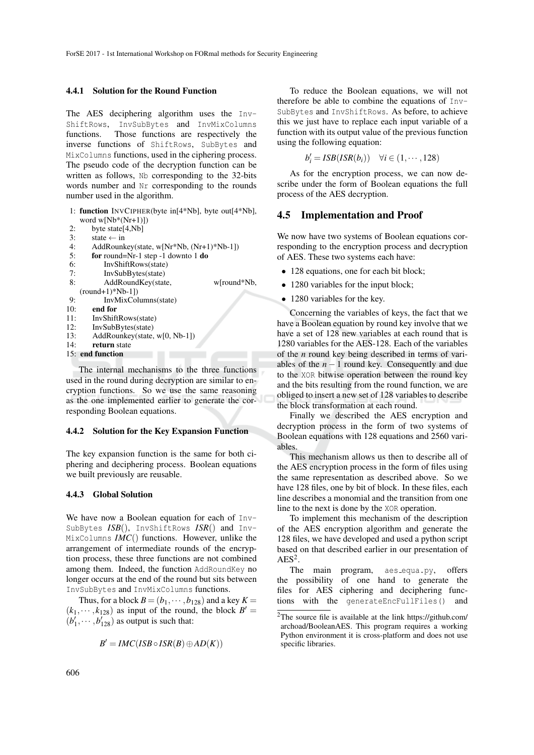### 4.4.1 Solution for the Round Function

The AES deciphering algorithm uses the Inv-ShiftRows, InvSubBytes and InvMixColumns functions. Those functions are respectively the inverse functions of ShiftRows, SubBytes and MixColumns functions, used in the ciphering process. The pseudo code of the decryption function can be written as follows, Nb corresponding to the 32-bits words number and Nr corresponding to the rounds number used in the algorithm.

- 1: function INVCIPHER(byte in[4\*Nb], byte out[4\*Nb], word w[Nb\*(Nr+1)])
- 2: byte state[4,Nb]
- 3: state ← in<br>4: AddRounk
- AddRounkey(state, w[Nr\*Nb, (Nr+1)\*Nb-1])
- 5: **for** round=Nr-1 step -1 downto 1 **do**<br>6: InvShiftRows(state)
- InvShiftRows(state)
- 7: InvSubBytes(state)<br>8: AddRoundKey(state

AddRoundKey(state, w[round\*Nb,

- (round+1)\*Nb-1]) 9: InvMixColumns(state)
- 
- 10: **end for**  $\frac{11}{11}$  **InvShift**
- 11: InvShiftRows(state)<br>12: InvSubBytes(state) InvSubBytes(state)
- 13: AddRounkey(state, w[0, Nb-1])
- 14: return state
- 15: end function

The internal mechanisms to the three functions used in the round during decryption are similar to encryption functions. So we use the same reasoning as the one implemented earlier to generate the corresponding Boolean equations.

### 4.4.2 Solution for the Key Expansion Function

The key expansion function is the same for both ciphering and deciphering process. Boolean equations we built previously are reusable.

#### 4.4.3 Global Solution

We have now a Boolean equation for each of Inv-SubBytes *ISB*(), InvShiftRows *ISR*() and Inv-MixColumns *IMC*() functions. However, unlike the arrangement of intermediate rounds of the encryption process, these three functions are not combined among them. Indeed, the function AddRoundKey no longer occurs at the end of the round but sits between InvSubBytes and InvMixColumns functions.

Thus, for a block  $B = (b_1, \dots, b_{128})$  and a key  $K =$  $(k_1, \dots, k_{128})$  as input of the round, the block  $B' =$  $(b'_1, \cdots, b'_{128})$  as output is such that:

$$
B' = \text{IMC}(ISB \circ \text{ISR}(B) \oplus \text{AD}(K))
$$

To reduce the Boolean equations, we will not therefore be able to combine the equations of Inv-SubBytes and InvShiftRows. As before, to achieve this we just have to replace each input variable of a function with its output value of the previous function using the following equation:

$$
b'_{i} = ISB(ISR(b_{i})) \quad \forall i \in (1, \cdots, 128)
$$

As for the encryption process, we can now describe under the form of Boolean equations the full process of the AES decryption.

### 4.5 Implementation and Proof

We now have two systems of Boolean equations corresponding to the encryption process and decryption of AES. These two systems each have:

- 128 equations, one for each bit block;
- 1280 variables for the input block;
- 1280 variables for the key.

Concerning the variables of keys, the fact that we have a Boolean equation by round key involve that we have a set of 128 new variables at each round that is 1280 variables for the AES-128. Each of the variables of the *n* round key being described in terms of variables of the  $n-1$  round key. Consequently and due to the XOR bitwise operation between the round key and the bits resulting from the round function, we are obliged to insert a new set of 128 variables to describe the block transformation at each round.

Finally we described the AES encryption and decryption process in the form of two systems of Boolean equations with 128 equations and 2560 variables.

This mechanism allows us then to describe all of the AES encryption process in the form of files using the same representation as described above. So we have 128 files, one by bit of block. In these files, each line describes a monomial and the transition from one line to the next is done by the XOR operation.

To implement this mechanism of the description of the AES encryption algorithm and generate the 128 files, we have developed and used a python script based on that described earlier in our presentation of  $\text{AES}^2$ .

The main program, aes\_equa.py, offers the possibility of one hand to generate the files for AES ciphering and deciphering functions with the generateEncFullFiles() and

<sup>2</sup>The source file is available at the link https://github.com/ archoad/BooleanAES. This program requires a working Python environment it is cross-platform and does not use specific libraries.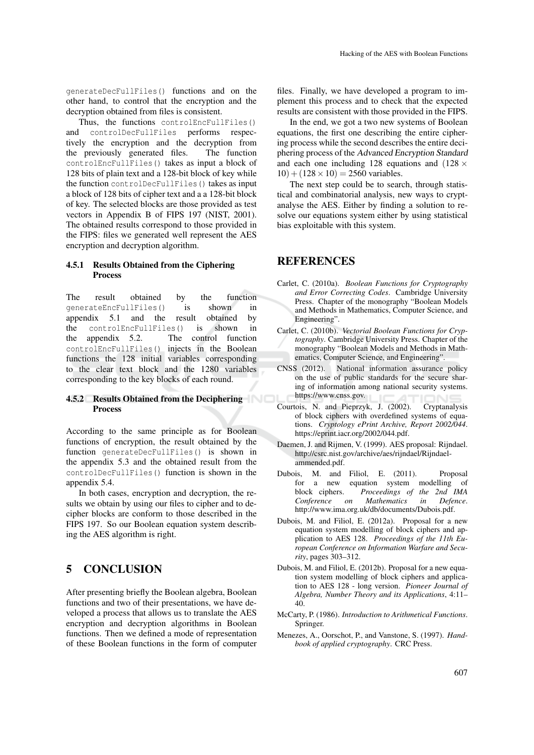generateDecFullFiles() functions and on the other hand, to control that the encryption and the decryption obtained from files is consistent.

Thus, the functions controlEncFullFiles() and controlDecFullFiles performs respectively the encryption and the decryption from the previously generated files. The function controlEncFullFiles() takes as input a block of 128 bits of plain text and a 128-bit block of key while the function controlDecFullFiles() takes as input a block of 128 bits of cipher text and a a 128-bit block of key. The selected blocks are those provided as test vectors in Appendix B of FIPS 197 (NIST, 2001). The obtained results correspond to those provided in the FIPS: files we generated well represent the AES encryption and decryption algorithm.

### 4.5.1 Results Obtained from the Ciphering Process

The result obtained by the function generateEncFullFiles() is shown in appendix 5.1 and the result obtained by the controlEncFullFiles() is shown in the appendix 5.2. The control function controlEncFullFiles() injects in the Boolean functions the 128 initial variables corresponding to the clear text block and the 1280 variables corresponding to the key blocks of each round.

### 4.5.2 Results Obtained from the Deciphering **Process**

According to the same principle as for Boolean functions of encryption, the result obtained by the function generateDecFullFiles() is shown in the appendix 5.3 and the obtained result from the controlDecFullFiles() function is shown in the appendix 5.4.

In both cases, encryption and decryption, the results we obtain by using our files to cipher and to decipher blocks are conform to those described in the FIPS 197. So our Boolean equation system describing the AES algorithm is right.

## 5 CONCLUSION

After presenting briefly the Boolean algebra, Boolean functions and two of their presentations, we have developed a process that allows us to translate the AES encryption and decryption algorithms in Boolean functions. Then we defined a mode of representation of these Boolean functions in the form of computer files. Finally, we have developed a program to implement this process and to check that the expected results are consistent with those provided in the FIPS.

In the end, we got a two new systems of Boolean equations, the first one describing the entire ciphering process while the second describes the entire deciphering process of the Advanced Encryption Standard and each one including 128 equations and  $(128 \times$  $10) + (128 \times 10) = 2560$  variables.

The next step could be to search, through statistical and combinatorial analysis, new ways to cryptanalyse the AES. Either by finding a solution to resolve our equations system either by using statistical bias exploitable with this system.

## **REFERENCES**

- Carlet, C. (2010a). *Boolean Functions for Cryptography and Error Correcting Codes*. Cambridge University Press. Chapter of the monography "Boolean Models and Methods in Mathematics, Computer Science, and Engineering".
- Carlet, C. (2010b). *Vectorial Boolean Functions for Cryptography*. Cambridge University Press. Chapter of the monography "Boolean Models and Methods in Mathematics, Computer Science, and Engineering".
- CNSS (2012). National information assurance policy on the use of public standards for the secure sharing of information among national security systems. https://www.cnss.gov.
- Courtois, N. and Pieprzyk, J. (2002). Cryptanalysis of block ciphers with overdefined systems of equations. *Cryptology ePrint Archive, Report 2002/044*. https://eprint.iacr.org/2002/044.pdf.
- Daemen, J. and Rijmen, V. (1999). AES proposal: Rijndael. http://csrc.nist.gov/archive/aes/rijndael/Rijndaelammended.pdf.
- Dubois, M. and Filiol, E. (2011). Proposal for a new equation system modelling of block ciphers. *Proceedings of the 2nd IMA Conference on Mathematics in Defence*. http://www.ima.org.uk/db/documents/Dubois.pdf.
- Dubois, M. and Filiol, E. (2012a). Proposal for a new equation system modelling of block ciphers and application to AES 128. *Proceedings of the 11th European Conference on Information Warfare and Security*, pages 303–312.
- Dubois, M. and Filiol, E. (2012b). Proposal for a new equation system modelling of block ciphers and application to AES 128 - long version. *Pioneer Journal of Algebra, Number Theory and its Applications*, 4:11– 40.
- McCarty, P. (1986). *Introduction to Arithmetical Functions*. Springer.
- Menezes, A., Oorschot, P., and Vanstone, S. (1997). *Handbook of applied cryptography*. CRC Press.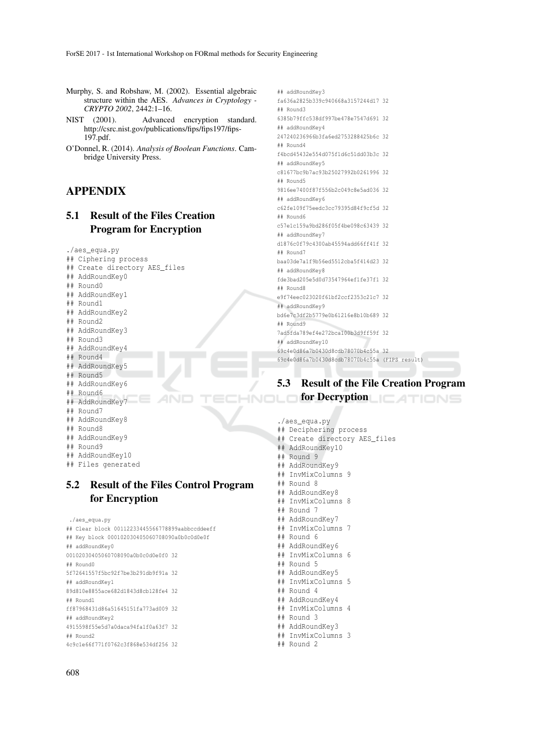- Murphy, S. and Robshaw, M. (2002). Essential algebraic structure within the AES. *Advances in Cryptology - CRYPTO 2002*, 2442:1–16.
- NIST (2001). Advanced encryption standard. http://csrc.nist.gov/publications/fips/fips197/fips-197.pdf.
- O'Donnel, R. (2014). *Analysis of Boolean Functions*. Cambridge University Press.

## APPENDIX

# 5.1 Result of the Files Creation Program for Encryption

- ./aes\_equa.py
- ## Ciphering process
- ## Create directory AES\_files
- ## AddRoundKey0
- ## Round0
- ## AddRoundKey1
- ## Round1
- ## AddRoundKey2
- ## Round2
- ## AddRoundKey3
- ## Round3
- ## AddRoundKey4
- ## Round4 ## AddRoundKey5
- ## Round5
- 
- ## AddRoundKey6 ## Round6
- ## AddRoundKey7
- ## Round7
- ## AddRoundKey8
- ## Round8
- ## AddRoundKey9
- ## Round9
- 
- ## AddRoundKey10 ## Files generated
- 

# 5.2 Result of the Files Control Program for Encryption

./aes\_equa.py

- ## Clear block 00112233445566778899aabbccddeeff ## Key block 000102030405060708090a0b0c0d0e0f
- ## addRoundKey0
- 00102030405060708090a0b0c0d0e0f0 32
- ## Round0
- 5f72641557f5bc92f7be3b291db9f91a 32
- ## addRoundKey1 89d810e8855ace682d1843d8cb128fe4 32
- 
- ## Round1
- ff87968431d86a51645151fa773ad009 32
- ## addRoundKey2
- 4915598f55e5d7a0daca94fa1f0a63f7 32 ## Round2
- 

4c9c1e66f771f0762c3f868e534df256 32

- ## addRoundKey3 fa636a2825b339c940668a3157244d17 32 ## Round3 6385b79ffc538df997be478e7547d691 32 ## addRoundKey4 247240236966b3fa6ed2753288425b6c 32 ## Round4 f4bcd45432e554d075f1d6c51dd03b3c 32 ## addRoundKey5 c81677bc9b7ac93b25027992b0261996 32 ## Round5 9816ee7400f87f556b2c049c8e5ad036 32 ## addRoundKey6 c62fe109f75eedc3cc79395d84f9cf5d 32 ## Round6 c57e1c159a9bd286f05f4be098c63439 32 ## addRoundKey7 d1876c0f79c4300ab45594add66ff41f 32 ## Round7 baa03de7a1f9b56ed5512cba5f414d23 32 ## addRoundKey8 fde3bad205e5d0d73547964ef1fe37f1 32 ## Round8 e9f74eec023020f61bf2ccf2353c21c7 32 ## addRoundKey9 bd6e7c3df2b5779e0b61216e8b10b689 32 ## Round9 7ad5fda789ef4e272bca100b3d9ff59f 32 ## addRoundKey10 69c4e0d86a7b0430d8cdb78070b4c55a 32 69c4e0d86a7b0430d8cdb78070b4c55a (FIPS result)
- 5.3 Result of the File Creation Program for Decryption

./aes\_equa.py

- ## Deciphering process
- ## Create directory AES\_files
- ## AddRoundKey10
- ## Round 9

HNC

- ## AddRoundKey9
- ## InvMixColumns 9
- ## Round 8
- ## AddRoundKey8
- ## InvMixColumns 8
- ## Round 7
- ## AddRoundKey7
- ## InvMixColumns 7
- ## Round 6
- ## AddRoundKey6
- ## InvMixColumns 6
- ## Round 5
- ## AddRoundKey5
- ## InvMixColumns 5
- ## Round 4
- ## AddRoundKey4
- ## InvMixColumns 4
- $##$  Round 3
- ## AddRoundKey3
- ## InvMixColumns 3
- ## Round 2